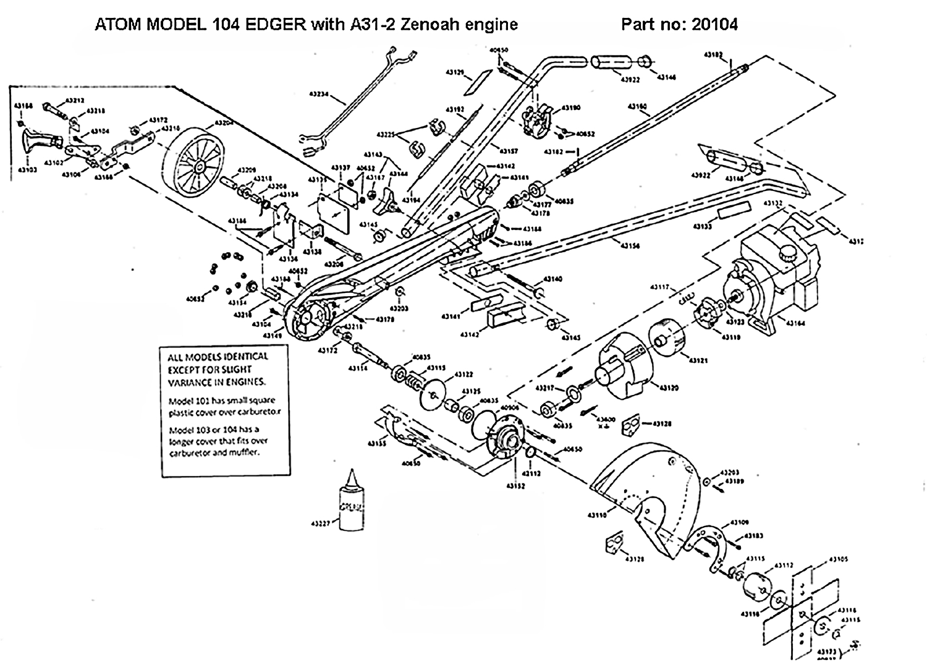ATOM MODEL 104 EDGER with A31-2 Zenoah engine

Part no: 20104